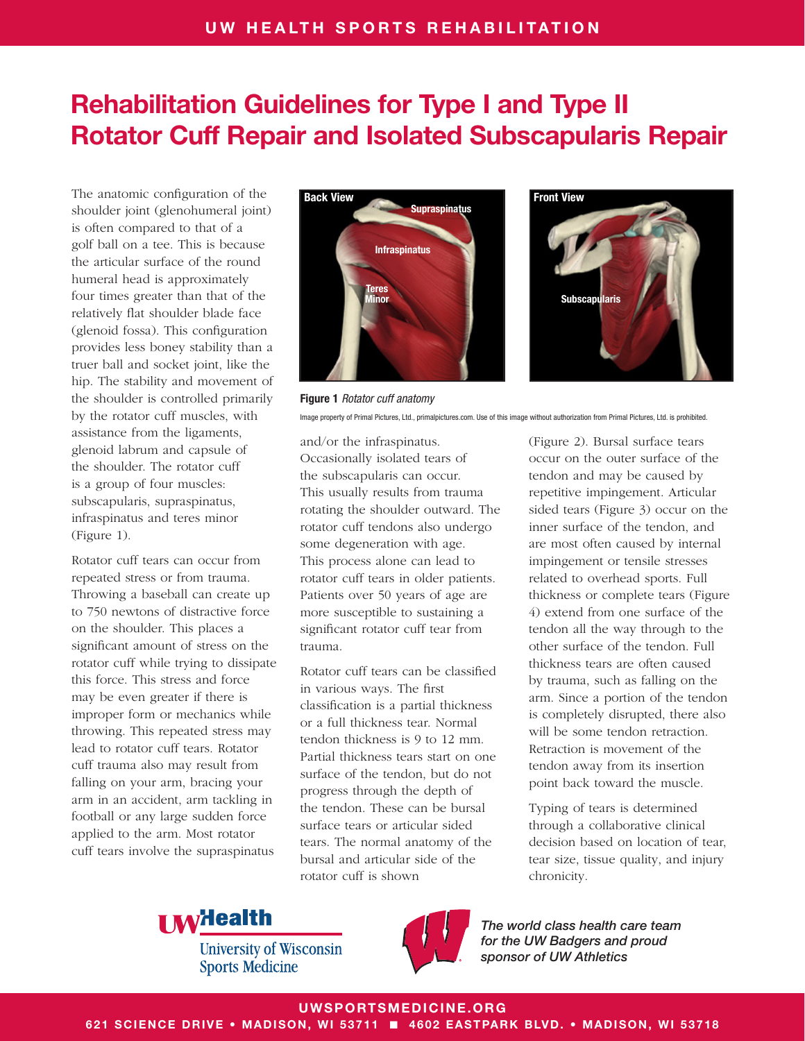# Rehabilitation Guidelines for Type I and Type II Rotator Cuff Repair and Isolated Subscapularis Repair

The anatomic configuration of the shoulder joint (glenohumeral joint) is often compared to that of a golf ball on a tee. This is because the articular surface of the round humeral head is approximately four times greater than that of the relatively flat shoulder blade face (glenoid fossa). This configuration provides less boney stability than a truer ball and socket joint, like the hip. The stability and movement of the shoulder is controlled primarily by the rotator cuff muscles, with assistance from the ligaments, glenoid labrum and capsule of the shoulder. The rotator cuff is a group of four muscles: subscapularis, supraspinatus, infraspinatus and teres minor (Figure 1).

Rotator cuff tears can occur from repeated stress or from trauma. Throwing a baseball can create up to 750 newtons of distractive force on the shoulder. This places a significant amount of stress on the rotator cuff while trying to dissipate this force. This stress and force may be even greater if there is improper form or mechanics while throwing. This repeated stress may lead to rotator cuff tears. Rotator cuff trauma also may result from falling on your arm, bracing your arm in an accident, arm tackling in football or any large sudden force applied to the arm. Most rotator cuff tears involve the supraspinatus





Figure 1 *Rotator cuff anatomy* Image property of Primal Pictures, Ltd., primalpictures.com. Use of this image without authorization from Primal Pictures, Ltd. is prohibited.

and/or the infraspinatus. Occasionally isolated tears of the subscapularis can occur. This usually results from trauma rotating the shoulder outward. The rotator cuff tendons also undergo some degeneration with age. This process alone can lead to rotator cuff tears in older patients. Patients over 50 years of age are more susceptible to sustaining a significant rotator cuff tear from trauma.

Rotator cuff tears can be classified in various ways. The first classification is a partial thickness or a full thickness tear. Normal tendon thickness is 9 to 12 mm. Partial thickness tears start on one surface of the tendon, but do not progress through the depth of the tendon. These can be bursal surface tears or articular sided tears. The normal anatomy of the bursal and articular side of the rotator cuff is shown

(Figure 2). Bursal surface tears occur on the outer surface of the tendon and may be caused by repetitive impingement. Articular sided tears (Figure 3) occur on the inner surface of the tendon, and are most often caused by internal impingement or tensile stresses related to overhead sports. Full thickness or complete tears (Figure 4) extend from one surface of the tendon all the way through to the other surface of the tendon. Full thickness tears are often caused by trauma, such as falling on the arm. Since a portion of the tendon is completely disrupted, there also will be some tendon retraction. Retraction is movement of the tendon away from its insertion point back toward the muscle.

Typing of tears is determined through a collaborative clinical decision based on location of tear, tear size, tissue quality, and injury chronicity.



**University of Wisconsin Sports Medicine** 



*The world class health care team for the UW Badgers and proud sponsor of UW Athletics*

#### UWSPORTSMEDICINE.ORG

621 SCIENCE DRIVE • MADISON, WI 53711 ■ 4602 EASTPARK BLVD. • MADISON, WI 53718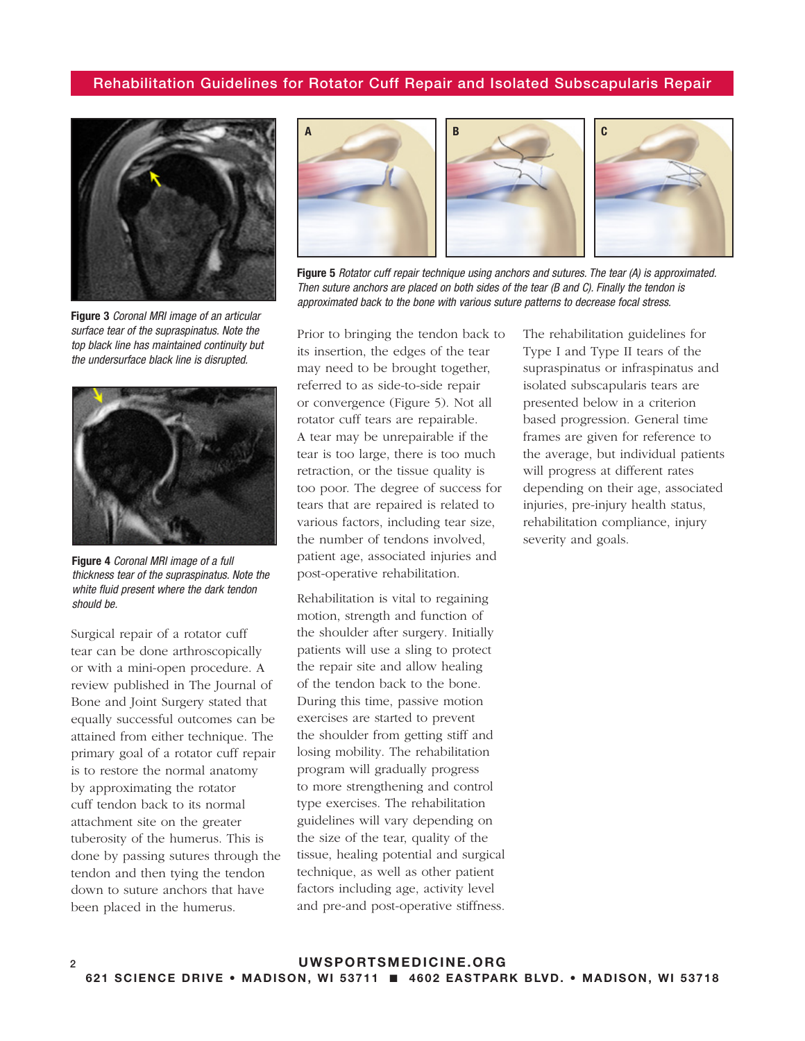#### Rehabilitation Guidelines for Rotator Cuff Repair and Isolated Subscapularis Repair



Figure 3 *Coronal MRI image of an articular surface tear of the supraspinatus. Note the top black line has maintained continuity but the undersurface black line is disrupted.*



Figure 4 *Coronal MRI image of a full thickness tear of the supraspinatus. Note the white fluid present where the dark tendon should be.*

Surgical repair of a rotator cuff tear can be done arthroscopically or with a mini-open procedure. A review published in The Journal of Bone and Joint Surgery stated that equally successful outcomes can be attained from either technique. The primary goal of a rotator cuff repair is to restore the normal anatomy by approximating the rotator cuff tendon back to its normal attachment site on the greater tuberosity of the humerus. This is done by passing sutures through the tendon and then tying the tendon down to suture anchors that have been placed in the humerus.



Figure 5 *Rotator cuff repair technique using anchors and sutures. The tear (A) is approximated. Then suture anchors are placed on both sides of the tear (B and C). Finally the tendon is approximated back to the bone with various suture patterns to decrease focal stress.*

Prior to bringing the tendon back to its insertion, the edges of the tear may need to be brought together, referred to as side-to-side repair or convergence (Figure 5). Not all rotator cuff tears are repairable. A tear may be unrepairable if the tear is too large, there is too much retraction, or the tissue quality is too poor. The degree of success for tears that are repaired is related to various factors, including tear size, the number of tendons involved, patient age, associated injuries and post-operative rehabilitation.

Rehabilitation is vital to regaining motion, strength and function of the shoulder after surgery. Initially patients will use a sling to protect the repair site and allow healing of the tendon back to the bone. During this time, passive motion exercises are started to prevent the shoulder from getting stiff and losing mobility. The rehabilitation program will gradually progress to more strengthening and control type exercises. The rehabilitation guidelines will vary depending on the size of the tear, quality of the tissue, healing potential and surgical technique, as well as other patient factors including age, activity level and pre-and post-operative stiffness.

The rehabilitation guidelines for Type I and Type II tears of the supraspinatus or infraspinatus and isolated subscapularis tears are presented below in a criterion based progression. General time frames are given for reference to the average, but individual patients will progress at different rates depending on their age, associated injuries, pre-injury health status, rehabilitation compliance, injury severity and goals.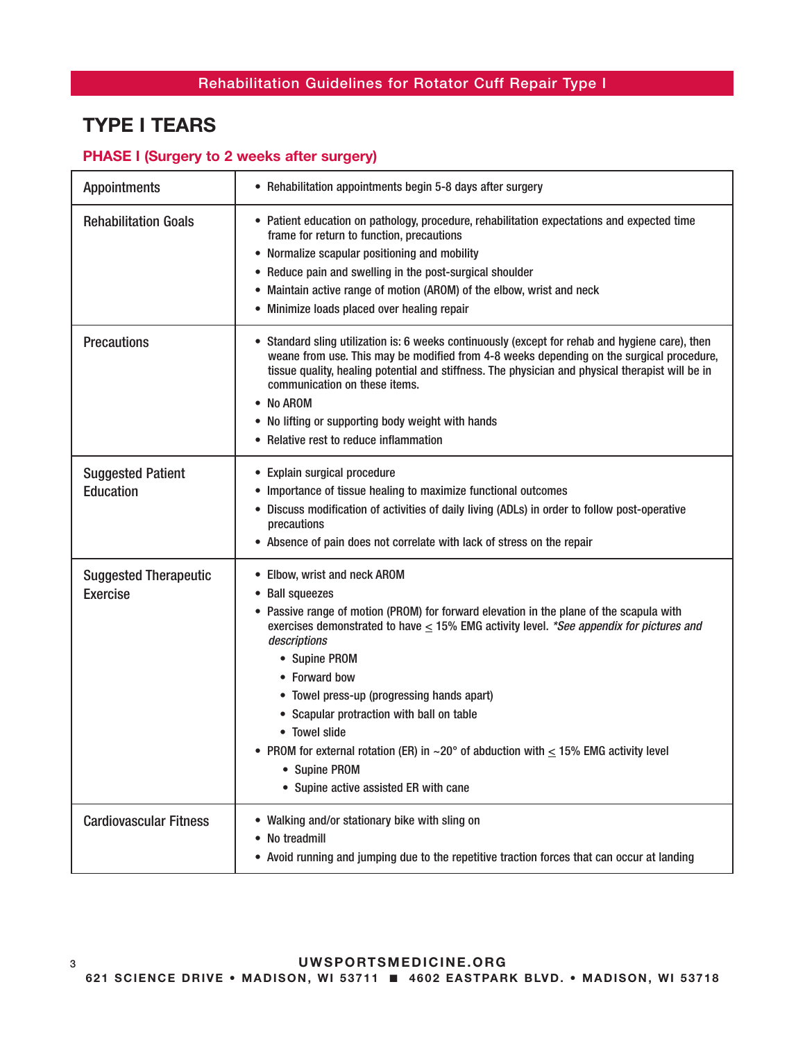# TYPE I TEARS

### PHASE I (Surgery to 2 weeks after surgery)

| <b>Appointments</b>                             | • Rehabilitation appointments begin 5-8 days after surgery                                                                                                                                                                                                                                                                                                                                                                                                                                                                                                            |
|-------------------------------------------------|-----------------------------------------------------------------------------------------------------------------------------------------------------------------------------------------------------------------------------------------------------------------------------------------------------------------------------------------------------------------------------------------------------------------------------------------------------------------------------------------------------------------------------------------------------------------------|
| <b>Rehabilitation Goals</b>                     | • Patient education on pathology, procedure, rehabilitation expectations and expected time<br>frame for return to function, precautions<br>• Normalize scapular positioning and mobility<br>• Reduce pain and swelling in the post-surgical shoulder<br>• Maintain active range of motion (AROM) of the elbow, wrist and neck<br>• Minimize loads placed over healing repair                                                                                                                                                                                          |
| <b>Precautions</b>                              | • Standard sling utilization is: 6 weeks continuously (except for rehab and hygiene care), then<br>weane from use. This may be modified from 4-8 weeks depending on the surgical procedure,<br>tissue quality, healing potential and stiffness. The physician and physical therapist will be in<br>communication on these items.<br>• No AROM<br>• No lifting or supporting body weight with hands<br>• Relative rest to reduce inflammation                                                                                                                          |
| <b>Suggested Patient</b><br><b>Education</b>    | • Explain surgical procedure<br>• Importance of tissue healing to maximize functional outcomes<br>• Discuss modification of activities of daily living (ADLs) in order to follow post-operative<br>precautions<br>• Absence of pain does not correlate with lack of stress on the repair                                                                                                                                                                                                                                                                              |
| <b>Suggested Therapeutic</b><br><b>Exercise</b> | • Elbow, wrist and neck AROM<br>• Ball squeezes<br>• Passive range of motion (PROM) for forward elevation in the plane of the scapula with<br>exercises demonstrated to have $\leq$ 15% EMG activity level. *See appendix for pictures and<br>descriptions<br>• Supine PROM<br>• Forward bow<br>• Towel press-up (progressing hands apart)<br>• Scapular protraction with ball on table<br>• Towel slide<br>• PROM for external rotation (ER) in $\sim$ 20° of abduction with $\leq$ 15% EMG activity level<br>• Supine PROM<br>• Supine active assisted ER with cane |
| <b>Cardiovascular Fitness</b>                   | • Walking and/or stationary bike with sling on<br>• No treadmill<br>• Avoid running and jumping due to the repetitive traction forces that can occur at landing                                                                                                                                                                                                                                                                                                                                                                                                       |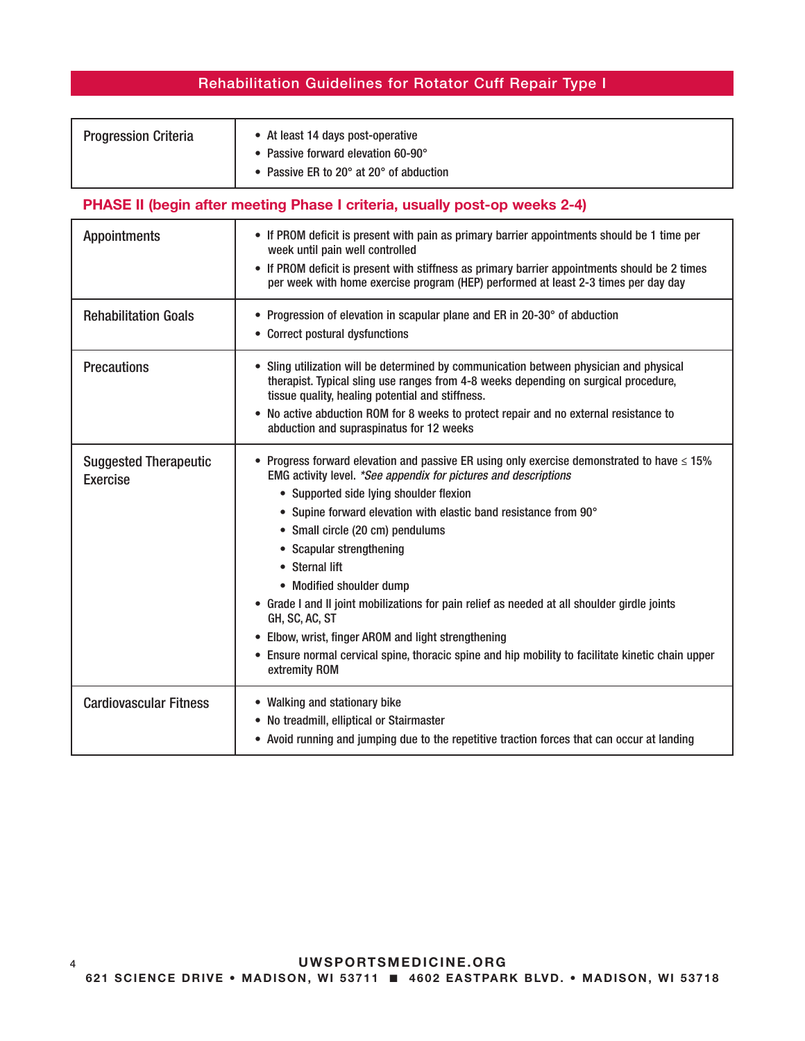| <b>Progression Criteria</b> | • At least 14 days post-operative                           |
|-----------------------------|-------------------------------------------------------------|
|                             | • Passive forward elevation 60-90°                          |
|                             | • Passive ER to 20 $^{\circ}$ at 20 $^{\circ}$ of abduction |

### PHASE II (begin after meeting Phase I criteria, usually post-op weeks 2-4)

| <b>Appointments</b>                             | • If PROM deficit is present with pain as primary barrier appointments should be 1 time per<br>week until pain well controlled<br>• If PROM deficit is present with stiffness as primary barrier appointments should be 2 times<br>per week with home exercise program (HEP) performed at least 2-3 times per day day                                                                                                                                                                                                                                                                                                                                                                           |
|-------------------------------------------------|-------------------------------------------------------------------------------------------------------------------------------------------------------------------------------------------------------------------------------------------------------------------------------------------------------------------------------------------------------------------------------------------------------------------------------------------------------------------------------------------------------------------------------------------------------------------------------------------------------------------------------------------------------------------------------------------------|
| <b>Rehabilitation Goals</b>                     | • Progression of elevation in scapular plane and ER in 20-30° of abduction<br>• Correct postural dysfunctions                                                                                                                                                                                                                                                                                                                                                                                                                                                                                                                                                                                   |
| <b>Precautions</b>                              | • Sling utilization will be determined by communication between physician and physical<br>therapist. Typical sling use ranges from 4-8 weeks depending on surgical procedure,<br>tissue quality, healing potential and stiffness.<br>• No active abduction ROM for 8 weeks to protect repair and no external resistance to<br>abduction and supraspinatus for 12 weeks                                                                                                                                                                                                                                                                                                                          |
| <b>Suggested Therapeutic</b><br><b>Exercise</b> | • Progress forward elevation and passive ER using only exercise demonstrated to have $\leq 15\%$<br>EMG activity level. *See appendix for pictures and descriptions<br>• Supported side lying shoulder flexion<br>• Supine forward elevation with elastic band resistance from 90°<br>• Small circle (20 cm) pendulums<br>• Scapular strengthening<br>• Sternal lift<br>• Modified shoulder dump<br>• Grade I and II joint mobilizations for pain relief as needed at all shoulder girdle joints<br>GH, SC, AC, ST<br>• Elbow, wrist, finger AROM and light strengthening<br>• Ensure normal cervical spine, thoracic spine and hip mobility to facilitate kinetic chain upper<br>extremity ROM |
| <b>Cardiovascular Fitness</b>                   | • Walking and stationary bike<br>• No treadmill, elliptical or Stairmaster<br>• Avoid running and jumping due to the repetitive traction forces that can occur at landing                                                                                                                                                                                                                                                                                                                                                                                                                                                                                                                       |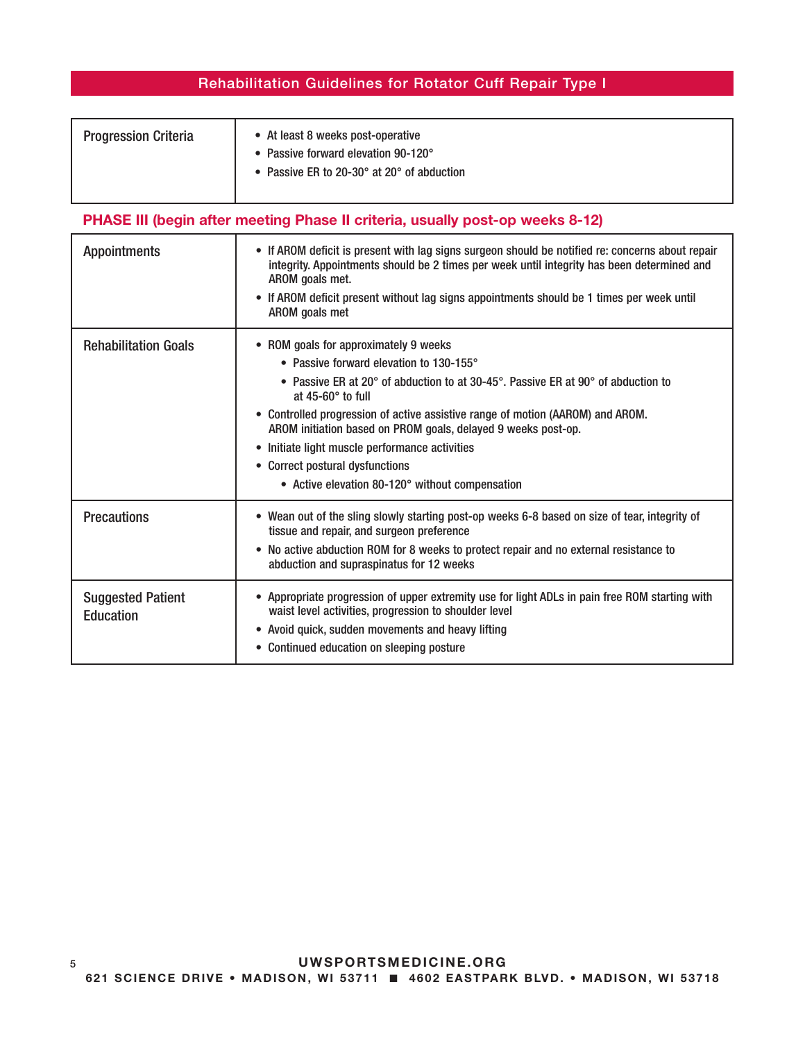| <b>Progression Criteria</b> | • At least 8 weeks post-operative<br>• Passive forward elevation 90-120° |
|-----------------------------|--------------------------------------------------------------------------|
|                             | • Passive ER to 20-30 $^{\circ}$ at 20 $^{\circ}$ of abduction           |

## PHASE III (begin after meeting Phase II criteria, usually post-op weeks 8-12)

| <b>Appointments</b>                          | • If AROM deficit is present with lag signs surgeon should be notified re: concerns about repair<br>integrity. Appointments should be 2 times per week until integrity has been determined and<br>AROM goals met.<br>• If AROM deficit present without lag signs appointments should be 1 times per week until<br>AROM goals met                                                                                                                                                                                           |
|----------------------------------------------|----------------------------------------------------------------------------------------------------------------------------------------------------------------------------------------------------------------------------------------------------------------------------------------------------------------------------------------------------------------------------------------------------------------------------------------------------------------------------------------------------------------------------|
| <b>Rehabilitation Goals</b>                  | • ROM goals for approximately 9 weeks<br>• Passive forward elevation to 130-155°<br>• Passive ER at 20 $^{\circ}$ of abduction to at 30-45 $^{\circ}$ . Passive ER at 90 $^{\circ}$ of abduction to<br>at $45-60^\circ$ to full<br>• Controlled progression of active assistive range of motion (AAROM) and AROM.<br>AROM initiation based on PROM goals, delayed 9 weeks post-op.<br>• Initiate light muscle performance activities<br>• Correct postural dysfunctions<br>• Active elevation 80-120° without compensation |
| <b>Precautions</b>                           | • Wean out of the sling slowly starting post-op weeks 6-8 based on size of tear, integrity of<br>tissue and repair, and surgeon preference<br>• No active abduction ROM for 8 weeks to protect repair and no external resistance to<br>abduction and supraspinatus for 12 weeks                                                                                                                                                                                                                                            |
| <b>Suggested Patient</b><br><b>Education</b> | • Appropriate progression of upper extremity use for light ADLs in pain free ROM starting with<br>waist level activities, progression to shoulder level<br>• Avoid quick, sudden movements and heavy lifting<br>• Continued education on sleeping posture                                                                                                                                                                                                                                                                  |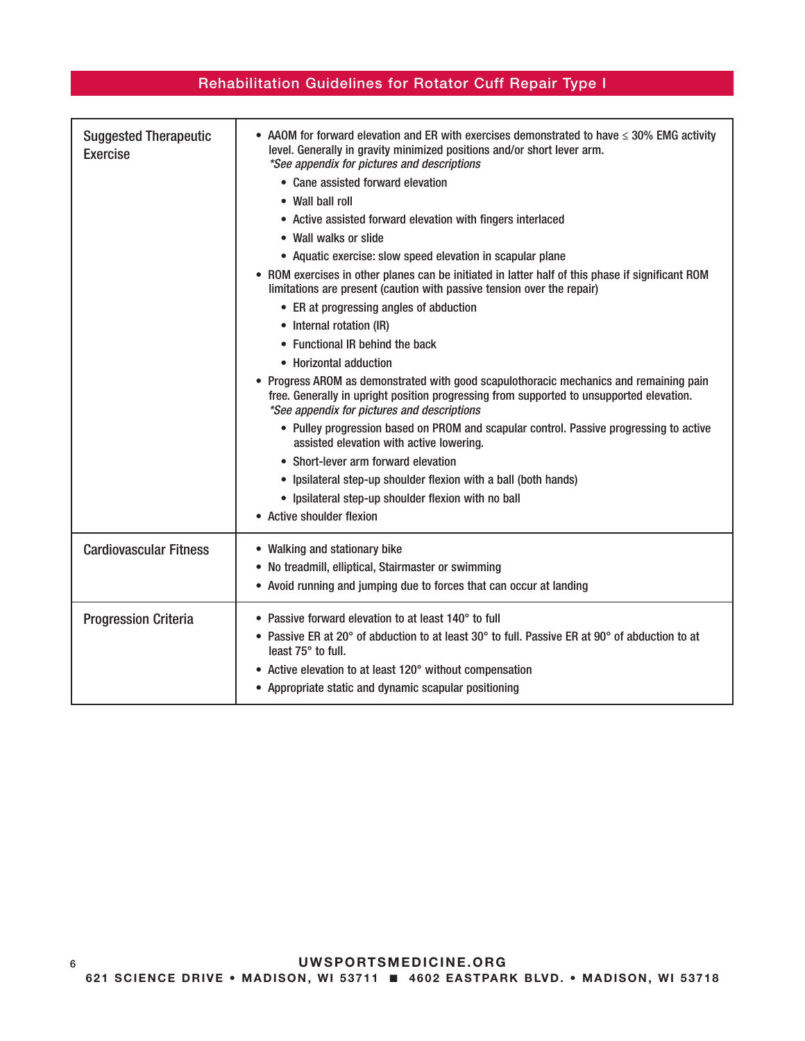| <b>Suggested Therapeutic</b><br><b>Exercise</b> | • AAOM for forward elevation and ER with exercises demonstrated to have $\leq$ 30% EMG activity<br>level. Generally in gravity minimized positions and/or short lever arm.<br>*See appendix for pictures and descriptions<br>• Cane assisted forward elevation<br>• Wall ball roll<br>• Active assisted forward elevation with fingers interlaced<br>• Wall walks or slide<br>• Aquatic exercise: slow speed elevation in scapular plane<br>• ROM exercises in other planes can be initiated in latter half of this phase if significant ROM<br>limitations are present (caution with passive tension over the repair)<br>• ER at progressing angles of abduction<br>• Internal rotation (IR)<br>• Functional IR behind the back<br>• Horizontal adduction<br>• Progress AROM as demonstrated with good scapulothoracic mechanics and remaining pain<br>free. Generally in upright position progressing from supported to unsupported elevation.<br>*See appendix for pictures and descriptions<br>• Pulley progression based on PROM and scapular control. Passive progressing to active<br>assisted elevation with active lowering.<br>• Short-lever arm forward elevation<br>• Ipsilateral step-up shoulder flexion with a ball (both hands)<br>• Ipsilateral step-up shoulder flexion with no ball<br>• Active shoulder flexion |
|-------------------------------------------------|-------------------------------------------------------------------------------------------------------------------------------------------------------------------------------------------------------------------------------------------------------------------------------------------------------------------------------------------------------------------------------------------------------------------------------------------------------------------------------------------------------------------------------------------------------------------------------------------------------------------------------------------------------------------------------------------------------------------------------------------------------------------------------------------------------------------------------------------------------------------------------------------------------------------------------------------------------------------------------------------------------------------------------------------------------------------------------------------------------------------------------------------------------------------------------------------------------------------------------------------------------------------------------------------------------------------------------------|
| <b>Cardiovascular Fitness</b>                   | • Walking and stationary bike<br>• No treadmill, elliptical, Stairmaster or swimming<br>• Avoid running and jumping due to forces that can occur at landing                                                                                                                                                                                                                                                                                                                                                                                                                                                                                                                                                                                                                                                                                                                                                                                                                                                                                                                                                                                                                                                                                                                                                                         |
| <b>Progression Criteria</b>                     | • Passive forward elevation to at least 140° to full<br>• Passive ER at 20° of abduction to at least 30° to full. Passive ER at 90° of abduction to at<br>least 75° to full.<br>• Active elevation to at least 120° without compensation<br>• Appropriate static and dynamic scapular positioning                                                                                                                                                                                                                                                                                                                                                                                                                                                                                                                                                                                                                                                                                                                                                                                                                                                                                                                                                                                                                                   |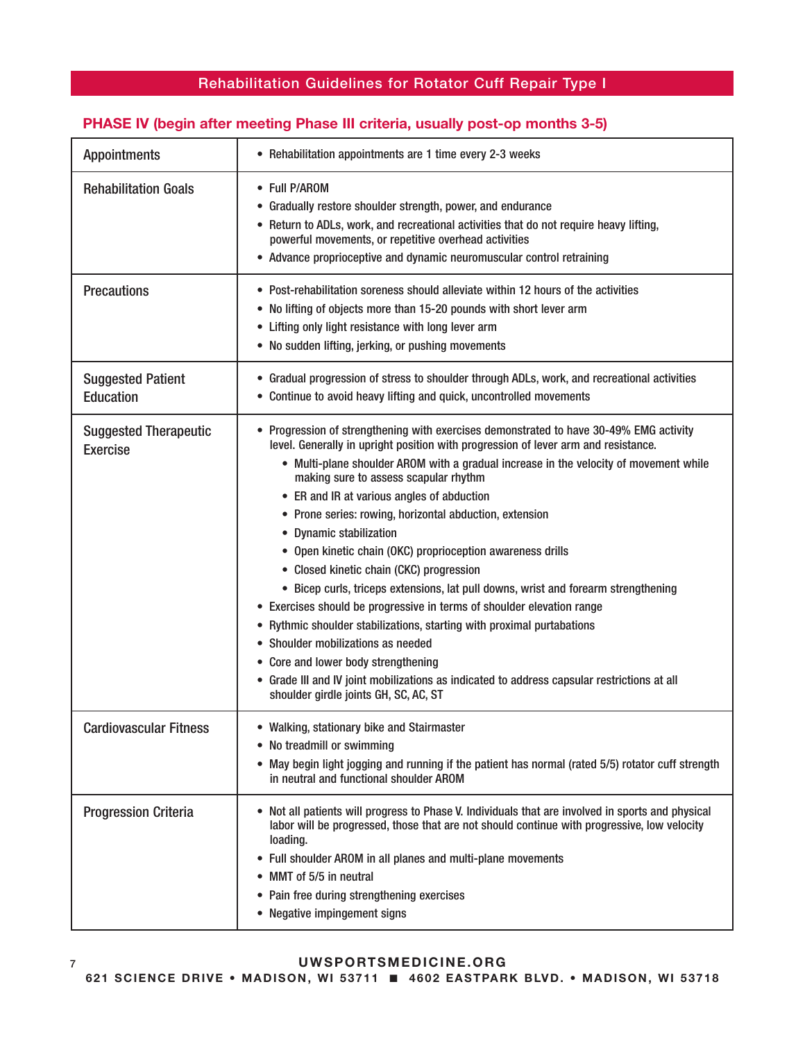### PHASE IV (begin after meeting Phase III criteria, usually post-op months 3-5)

| <b>Appointments</b>                             | • Rehabilitation appointments are 1 time every 2-3 weeks                                                                                                                                                                                                                                                                                                                                                                                                                                                                                                                                                                                                                                                                                                                                                                                                                                                                                                                                                                    |
|-------------------------------------------------|-----------------------------------------------------------------------------------------------------------------------------------------------------------------------------------------------------------------------------------------------------------------------------------------------------------------------------------------------------------------------------------------------------------------------------------------------------------------------------------------------------------------------------------------------------------------------------------------------------------------------------------------------------------------------------------------------------------------------------------------------------------------------------------------------------------------------------------------------------------------------------------------------------------------------------------------------------------------------------------------------------------------------------|
| <b>Rehabilitation Goals</b>                     | • Full P/AROM<br>• Gradually restore shoulder strength, power, and endurance<br>• Return to ADLs, work, and recreational activities that do not require heavy lifting,<br>powerful movements, or repetitive overhead activities<br>• Advance proprioceptive and dynamic neuromuscular control retraining                                                                                                                                                                                                                                                                                                                                                                                                                                                                                                                                                                                                                                                                                                                    |
| <b>Precautions</b>                              | • Post-rehabilitation soreness should alleviate within 12 hours of the activities<br>• No lifting of objects more than 15-20 pounds with short lever arm<br>• Lifting only light resistance with long lever arm<br>• No sudden lifting, jerking, or pushing movements                                                                                                                                                                                                                                                                                                                                                                                                                                                                                                                                                                                                                                                                                                                                                       |
| <b>Suggested Patient</b><br><b>Education</b>    | • Gradual progression of stress to shoulder through ADLs, work, and recreational activities<br>• Continue to avoid heavy lifting and quick, uncontrolled movements                                                                                                                                                                                                                                                                                                                                                                                                                                                                                                                                                                                                                                                                                                                                                                                                                                                          |
| <b>Suggested Therapeutic</b><br><b>Exercise</b> | • Progression of strengthening with exercises demonstrated to have 30-49% EMG activity<br>level. Generally in upright position with progression of lever arm and resistance.<br>• Multi-plane shoulder AROM with a gradual increase in the velocity of movement while<br>making sure to assess scapular rhythm<br>• ER and IR at various angles of abduction<br>• Prone series: rowing, horizontal abduction, extension<br>• Dynamic stabilization<br>• Open kinetic chain (OKC) proprioception awareness drills<br>• Closed kinetic chain (CKC) progression<br>• Bicep curls, triceps extensions, lat pull downs, wrist and forearm strengthening<br>• Exercises should be progressive in terms of shoulder elevation range<br>• Rythmic shoulder stabilizations, starting with proximal purtabations<br>• Shoulder mobilizations as needed<br>• Core and lower body strengthening<br>• Grade III and IV joint mobilizations as indicated to address capsular restrictions at all<br>shoulder girdle joints GH, SC, AC, ST |
| <b>Cardiovascular Fitness</b>                   | Walking, stationary bike and Stairmaster<br>• No treadmill or swimming<br>• May begin light jogging and running if the patient has normal (rated 5/5) rotator cuff strength<br>in neutral and functional shoulder AROM                                                                                                                                                                                                                                                                                                                                                                                                                                                                                                                                                                                                                                                                                                                                                                                                      |
| <b>Progression Criteria</b>                     | • Not all patients will progress to Phase V. Individuals that are involved in sports and physical<br>labor will be progressed, those that are not should continue with progressive, low velocity<br>loading.<br>• Full shoulder AROM in all planes and multi-plane movements<br>• MMT of 5/5 in neutral<br>• Pain free during strengthening exercises<br>• Negative impingement signs                                                                                                                                                                                                                                                                                                                                                                                                                                                                                                                                                                                                                                       |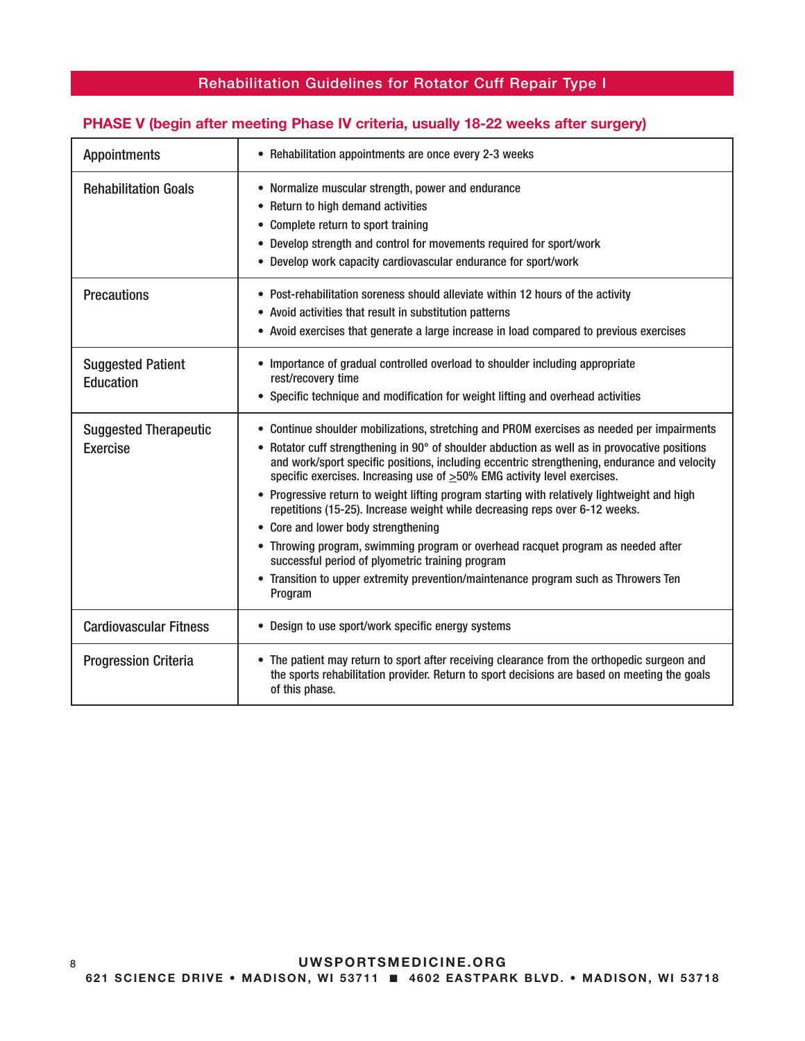### PHASE V (begin after meeting Phase IV criteria, usually 18-22 weeks after surgery)

| <b>Appointments</b>                             | • Rehabilitation appointments are once every 2-3 weeks                                                                                                                                                                                                                                                                                                                                                                                                                                                                                                                                                                                                                                                                                                                                                                                        |
|-------------------------------------------------|-----------------------------------------------------------------------------------------------------------------------------------------------------------------------------------------------------------------------------------------------------------------------------------------------------------------------------------------------------------------------------------------------------------------------------------------------------------------------------------------------------------------------------------------------------------------------------------------------------------------------------------------------------------------------------------------------------------------------------------------------------------------------------------------------------------------------------------------------|
| <b>Rehabilitation Goals</b>                     | • Normalize muscular strength, power and endurance<br>• Return to high demand activities<br>Complete return to sport training<br>٠<br>Develop strength and control for movements required for sport/work<br>$\bullet$<br>• Develop work capacity cardiovascular endurance for sport/work                                                                                                                                                                                                                                                                                                                                                                                                                                                                                                                                                      |
| <b>Precautions</b>                              | • Post-rehabilitation soreness should alleviate within 12 hours of the activity<br>• Avoid activities that result in substitution patterns<br>• Avoid exercises that generate a large increase in load compared to previous exercises                                                                                                                                                                                                                                                                                                                                                                                                                                                                                                                                                                                                         |
| <b>Suggested Patient</b><br><b>Education</b>    | • Importance of gradual controlled overload to shoulder including appropriate<br>rest/recovery time<br>• Specific technique and modification for weight lifting and overhead activities                                                                                                                                                                                                                                                                                                                                                                                                                                                                                                                                                                                                                                                       |
| <b>Suggested Therapeutic</b><br><b>Exercise</b> | • Continue shoulder mobilizations, stretching and PROM exercises as needed per impairments<br>• Rotator cuff strengthening in 90° of shoulder abduction as well as in provocative positions<br>and work/sport specific positions, including eccentric strengthening, endurance and velocity<br>specific exercises. Increasing use of $\geq$ 50% EMG activity level exercises.<br>• Progressive return to weight lifting program starting with relatively lightweight and high<br>repetitions (15-25). Increase weight while decreasing reps over 6-12 weeks.<br>• Core and lower body strengthening<br>• Throwing program, swimming program or overhead racquet program as needed after<br>successful period of plyometric training program<br>• Transition to upper extremity prevention/maintenance program such as Throwers Ten<br>Program |
| <b>Cardiovascular Fitness</b>                   | • Design to use sport/work specific energy systems                                                                                                                                                                                                                                                                                                                                                                                                                                                                                                                                                                                                                                                                                                                                                                                            |
| <b>Progression Criteria</b>                     | • The patient may return to sport after receiving clearance from the orthopedic surgeon and<br>the sports rehabilitation provider. Return to sport decisions are based on meeting the goals<br>of this phase.                                                                                                                                                                                                                                                                                                                                                                                                                                                                                                                                                                                                                                 |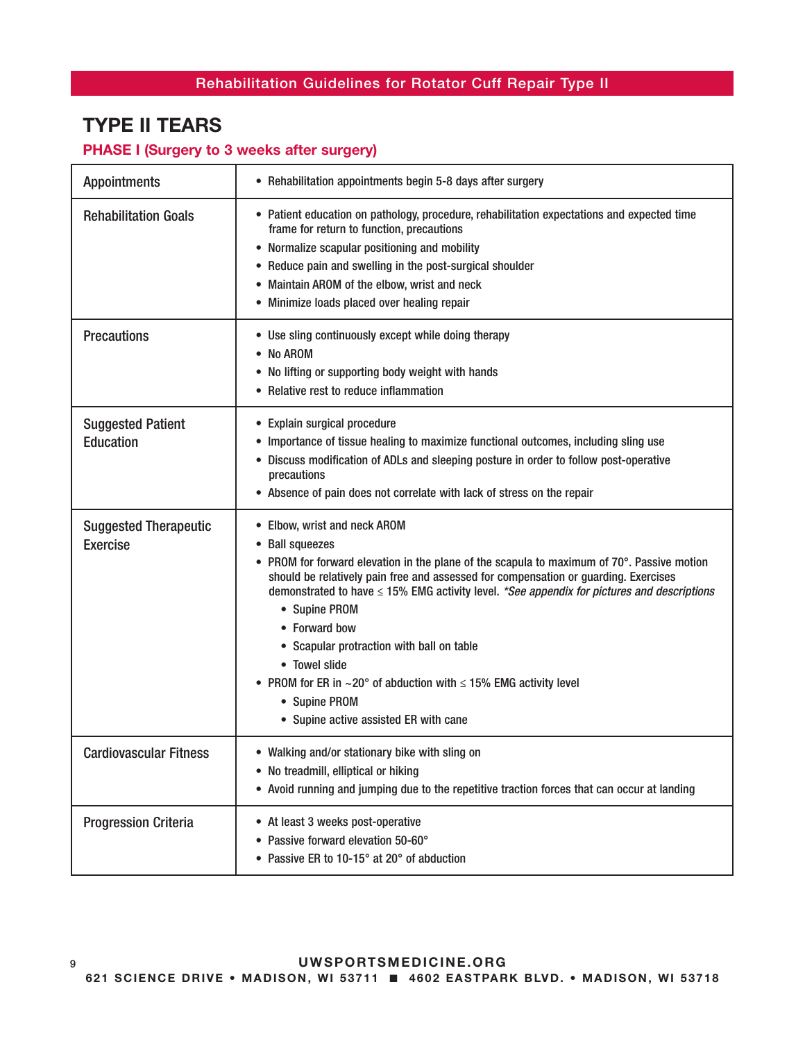# TYPE II TEARS

### PHASE I (Surgery to 3 weeks after surgery)

| <b>Appointments</b>                             | • Rehabilitation appointments begin 5-8 days after surgery                                                                                                                                                                                                                                                                                                                                                                                                                                                                                                                        |
|-------------------------------------------------|-----------------------------------------------------------------------------------------------------------------------------------------------------------------------------------------------------------------------------------------------------------------------------------------------------------------------------------------------------------------------------------------------------------------------------------------------------------------------------------------------------------------------------------------------------------------------------------|
| <b>Rehabilitation Goals</b>                     | • Patient education on pathology, procedure, rehabilitation expectations and expected time<br>frame for return to function, precautions<br>• Normalize scapular positioning and mobility<br>• Reduce pain and swelling in the post-surgical shoulder<br>• Maintain AROM of the elbow, wrist and neck<br>• Minimize loads placed over healing repair                                                                                                                                                                                                                               |
| <b>Precautions</b>                              | • Use sling continuously except while doing therapy<br>• No AROM<br>• No lifting or supporting body weight with hands<br>• Relative rest to reduce inflammation                                                                                                                                                                                                                                                                                                                                                                                                                   |
| <b>Suggested Patient</b><br><b>Education</b>    | • Explain surgical procedure<br>• Importance of tissue healing to maximize functional outcomes, including sling use<br>• Discuss modification of ADLs and sleeping posture in order to follow post-operative<br>precautions<br>• Absence of pain does not correlate with lack of stress on the repair                                                                                                                                                                                                                                                                             |
| <b>Suggested Therapeutic</b><br><b>Exercise</b> | • Elbow, wrist and neck AROM<br>• Ball squeezes<br>• PROM for forward elevation in the plane of the scapula to maximum of 70°. Passive motion<br>should be relatively pain free and assessed for compensation or guarding. Exercises<br>demonstrated to have $\leq 15\%$ EMG activity level. *See appendix for pictures and descriptions<br>• Supine PROM<br>• Forward bow<br>• Scapular protraction with ball on table<br>• Towel slide<br>• PROM for ER in $\sim$ 20° of abduction with $\leq$ 15% EMG activity level<br>• Supine PROM<br>• Supine active assisted ER with cane |
| <b>Cardiovascular Fitness</b>                   | • Walking and/or stationary bike with sling on<br>• No treadmill, elliptical or hiking<br>• Avoid running and jumping due to the repetitive traction forces that can occur at landing                                                                                                                                                                                                                                                                                                                                                                                             |
| <b>Progression Criteria</b>                     | • At least 3 weeks post-operative<br>• Passive forward elevation 50-60°<br>• Passive ER to 10-15° at 20° of abduction                                                                                                                                                                                                                                                                                                                                                                                                                                                             |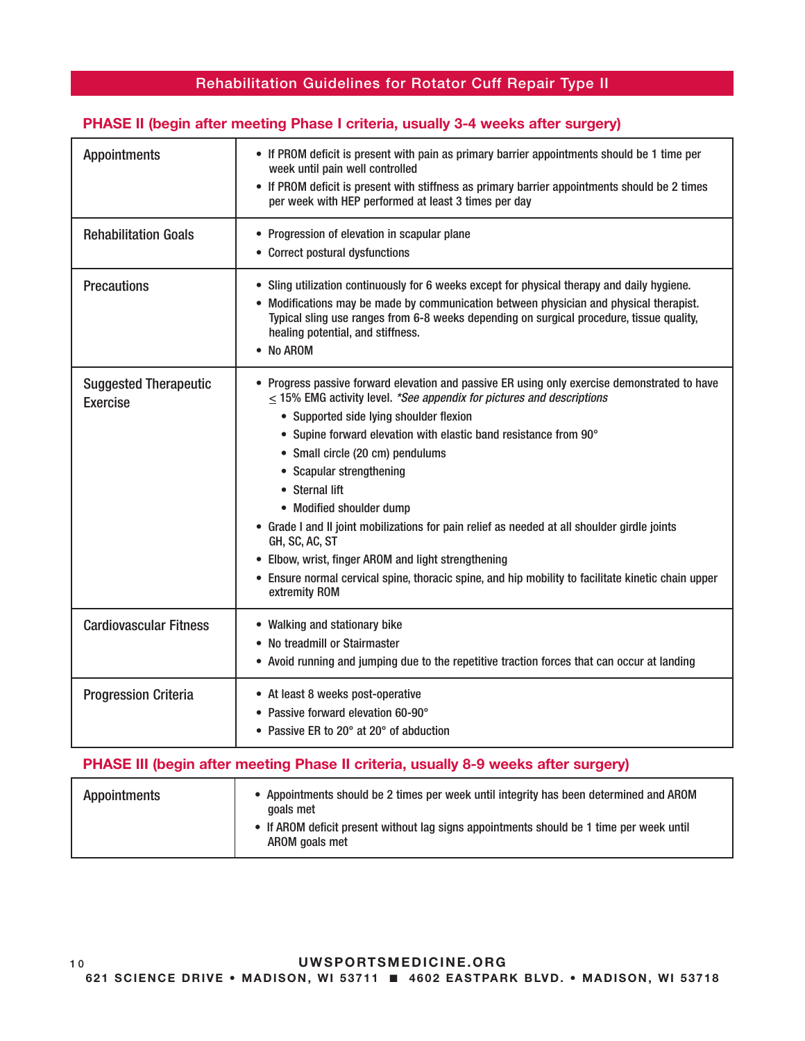### PHASE II (begin after meeting Phase I criteria, usually 3-4 weeks after surgery)

| <b>Appointments</b>                             | • If PROM deficit is present with pain as primary barrier appointments should be 1 time per<br>week until pain well controlled<br>• If PROM deficit is present with stiffness as primary barrier appointments should be 2 times<br>per week with HEP performed at least 3 times per day                                                                                                                                                                                                                                                                                                                                                                                                                 |
|-------------------------------------------------|---------------------------------------------------------------------------------------------------------------------------------------------------------------------------------------------------------------------------------------------------------------------------------------------------------------------------------------------------------------------------------------------------------------------------------------------------------------------------------------------------------------------------------------------------------------------------------------------------------------------------------------------------------------------------------------------------------|
|                                                 |                                                                                                                                                                                                                                                                                                                                                                                                                                                                                                                                                                                                                                                                                                         |
| <b>Rehabilitation Goals</b>                     | • Progression of elevation in scapular plane<br>• Correct postural dysfunctions                                                                                                                                                                                                                                                                                                                                                                                                                                                                                                                                                                                                                         |
| <b>Precautions</b>                              | • Sling utilization continuously for 6 weeks except for physical therapy and daily hygiene.<br>• Modifications may be made by communication between physician and physical therapist.<br>Typical sling use ranges from 6-8 weeks depending on surgical procedure, tissue quality,<br>healing potential, and stiffness.<br>• No AROM                                                                                                                                                                                                                                                                                                                                                                     |
| <b>Suggested Therapeutic</b><br><b>Exercise</b> | • Progress passive forward elevation and passive ER using only exercise demonstrated to have<br>$\leq$ 15% EMG activity level. *See appendix for pictures and descriptions<br>• Supported side lying shoulder flexion<br>• Supine forward elevation with elastic band resistance from 90°<br>• Small circle (20 cm) pendulums<br>• Scapular strengthening<br>• Sternal lift<br>• Modified shoulder dump<br>• Grade I and II joint mobilizations for pain relief as needed at all shoulder girdle joints<br>GH, SC, AC, ST<br>• Elbow, wrist, finger AROM and light strengthening<br>• Ensure normal cervical spine, thoracic spine, and hip mobility to facilitate kinetic chain upper<br>extremity ROM |
| <b>Cardiovascular Fitness</b>                   | • Walking and stationary bike<br>• No treadmill or Stairmaster<br>• Avoid running and jumping due to the repetitive traction forces that can occur at landing                                                                                                                                                                                                                                                                                                                                                                                                                                                                                                                                           |
| <b>Progression Criteria</b>                     | • At least 8 weeks post-operative<br>• Passive forward elevation 60-90°<br>• Passive ER to 20° at 20° of abduction                                                                                                                                                                                                                                                                                                                                                                                                                                                                                                                                                                                      |

### PHASE III (begin after meeting Phase II criteria, usually 8-9 weeks after surgery)

| <b>Appointments</b> | • Appointments should be 2 times per week until integrity has been determined and AROM<br>goals met        |
|---------------------|------------------------------------------------------------------------------------------------------------|
|                     | • If AROM deficit present without lag signs appointments should be 1 time per week until<br>AROM goals met |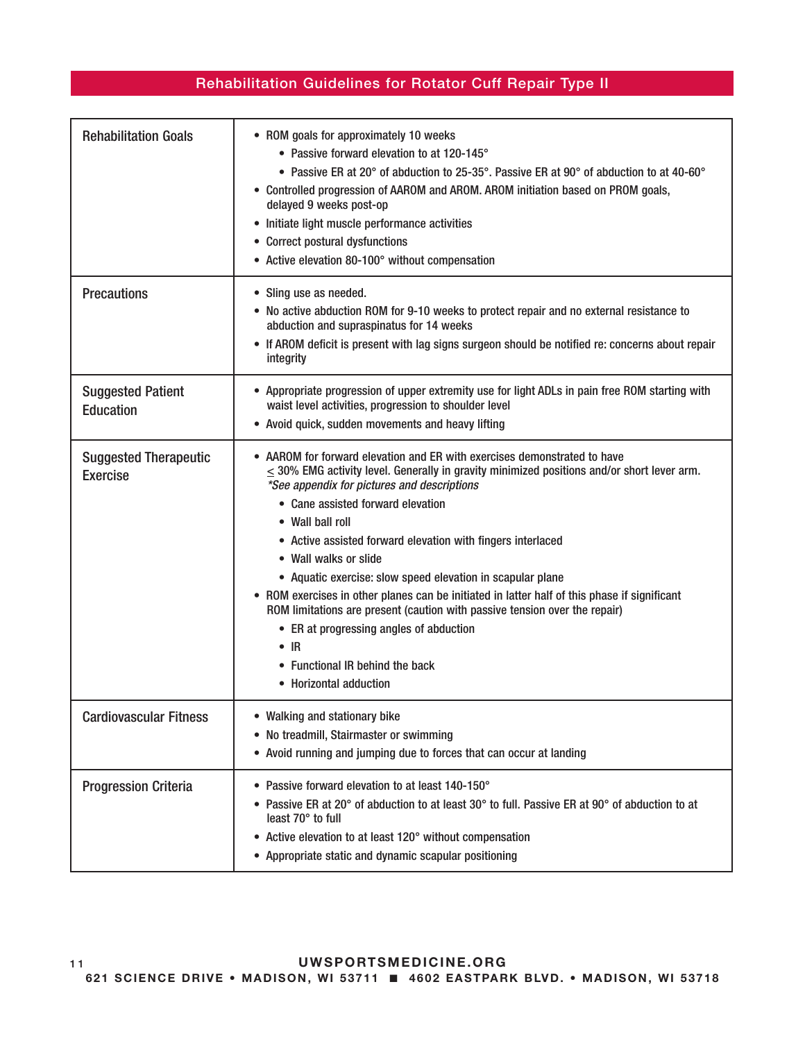| <b>Rehabilitation Goals</b>                     | • ROM goals for approximately 10 weeks<br>• Passive forward elevation to at 120-145°<br>• Passive ER at 20° of abduction to 25-35°. Passive ER at 90° of abduction to at 40-60°<br>• Controlled progression of AAROM and AROM. AROM initiation based on PROM goals,<br>delayed 9 weeks post-op<br>• Initiate light muscle performance activities<br>• Correct postural dysfunctions<br>• Active elevation 80-100° without compensation                                                                                                                                                                                                                                                                                                          |
|-------------------------------------------------|-------------------------------------------------------------------------------------------------------------------------------------------------------------------------------------------------------------------------------------------------------------------------------------------------------------------------------------------------------------------------------------------------------------------------------------------------------------------------------------------------------------------------------------------------------------------------------------------------------------------------------------------------------------------------------------------------------------------------------------------------|
| <b>Precautions</b>                              | • Sling use as needed.<br>• No active abduction ROM for 9-10 weeks to protect repair and no external resistance to<br>abduction and supraspinatus for 14 weeks<br>• If AROM deficit is present with lag signs surgeon should be notified re: concerns about repair<br>integrity                                                                                                                                                                                                                                                                                                                                                                                                                                                                 |
| <b>Suggested Patient</b><br><b>Education</b>    | • Appropriate progression of upper extremity use for light ADLs in pain free ROM starting with<br>waist level activities, progression to shoulder level<br>• Avoid quick, sudden movements and heavy lifting                                                                                                                                                                                                                                                                                                                                                                                                                                                                                                                                    |
| <b>Suggested Therapeutic</b><br><b>Exercise</b> | • AAROM for forward elevation and ER with exercises demonstrated to have<br>$\leq$ 30% EMG activity level. Generally in gravity minimized positions and/or short lever arm.<br>*See appendix for pictures and descriptions<br>• Cane assisted forward elevation<br>• Wall ball roll<br>• Active assisted forward elevation with fingers interlaced<br>• Wall walks or slide<br>• Aquatic exercise: slow speed elevation in scapular plane<br>• ROM exercises in other planes can be initiated in latter half of this phase if significant<br>ROM limitations are present (caution with passive tension over the repair)<br>• ER at progressing angles of abduction<br>$\bullet$ IR<br>• Functional IR behind the back<br>• Horizontal adduction |
| <b>Cardiovascular Fitness</b>                   | • Walking and stationary bike<br>• No treadmill, Stairmaster or swimming<br>• Avoid running and jumping due to forces that can occur at landing                                                                                                                                                                                                                                                                                                                                                                                                                                                                                                                                                                                                 |
| <b>Progression Criteria</b>                     | • Passive forward elevation to at least 140-150°<br>• Passive ER at 20 $^{\circ}$ of abduction to at least 30 $^{\circ}$ to full. Passive ER at 90 $^{\circ}$ of abduction to at<br>least 70° to full<br>• Active elevation to at least 120° without compensation<br>• Appropriate static and dynamic scapular positioning                                                                                                                                                                                                                                                                                                                                                                                                                      |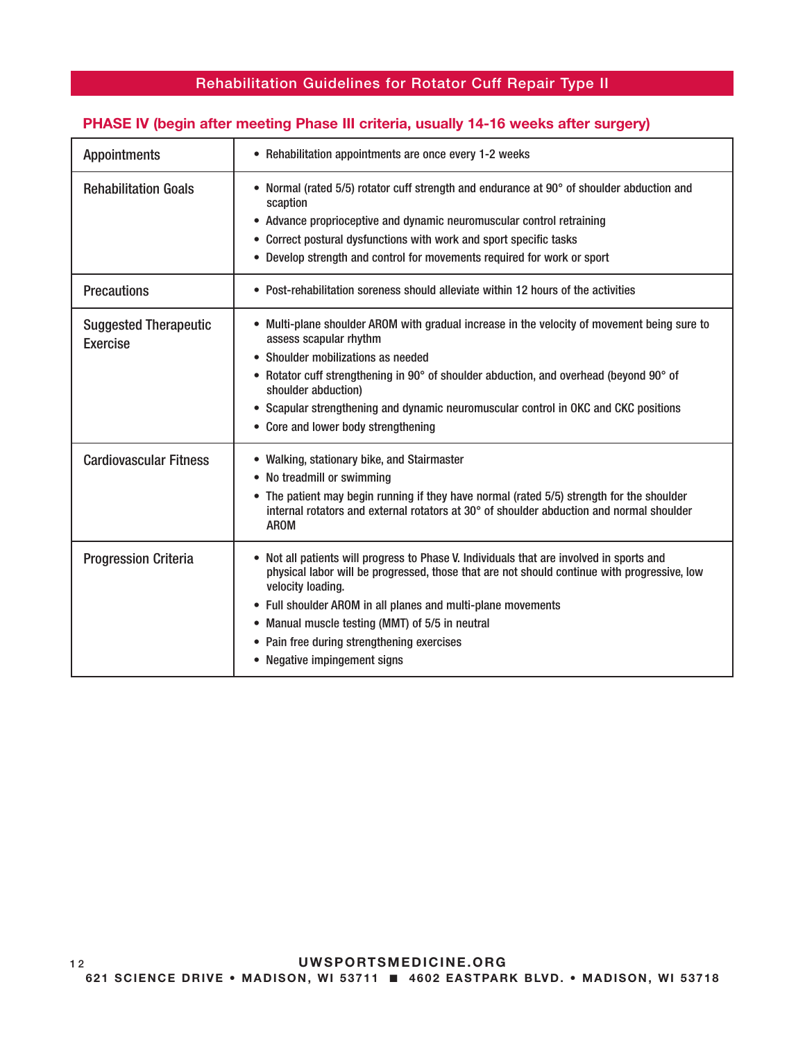### PHASE IV (begin after meeting Phase III criteria, usually 14-16 weeks after surgery)

| <b>Appointments</b>                             | • Rehabilitation appointments are once every 1-2 weeks                                                                                                                                                                                                                                                                                                                                                        |
|-------------------------------------------------|---------------------------------------------------------------------------------------------------------------------------------------------------------------------------------------------------------------------------------------------------------------------------------------------------------------------------------------------------------------------------------------------------------------|
| <b>Rehabilitation Goals</b>                     | • Normal (rated 5/5) rotator cuff strength and endurance at 90° of shoulder abduction and<br>scaption<br>• Advance proprioceptive and dynamic neuromuscular control retraining<br>• Correct postural dysfunctions with work and sport specific tasks<br>• Develop strength and control for movements required for work or sport                                                                               |
| <b>Precautions</b>                              | • Post-rehabilitation soreness should alleviate within 12 hours of the activities                                                                                                                                                                                                                                                                                                                             |
| <b>Suggested Therapeutic</b><br><b>Exercise</b> | • Multi-plane shoulder AROM with gradual increase in the velocity of movement being sure to<br>assess scapular rhythm<br>• Shoulder mobilizations as needed<br>Rotator cuff strengthening in 90° of shoulder abduction, and overhead (beyond 90° of<br>shoulder abduction)<br>• Scapular strengthening and dynamic neuromuscular control in OKC and CKC positions<br>• Core and lower body strengthening      |
| <b>Cardiovascular Fitness</b>                   | • Walking, stationary bike, and Stairmaster<br>• No treadmill or swimming<br>• The patient may begin running if they have normal (rated 5/5) strength for the shoulder<br>internal rotators and external rotators at 30° of shoulder abduction and normal shoulder<br><b>AROM</b>                                                                                                                             |
| <b>Progression Criteria</b>                     | • Not all patients will progress to Phase V. Individuals that are involved in sports and<br>physical labor will be progressed, those that are not should continue with progressive, low<br>velocity loading.<br>• Full shoulder AROM in all planes and multi-plane movements<br>• Manual muscle testing (MMT) of 5/5 in neutral<br>• Pain free during strengthening exercises<br>• Negative impingement signs |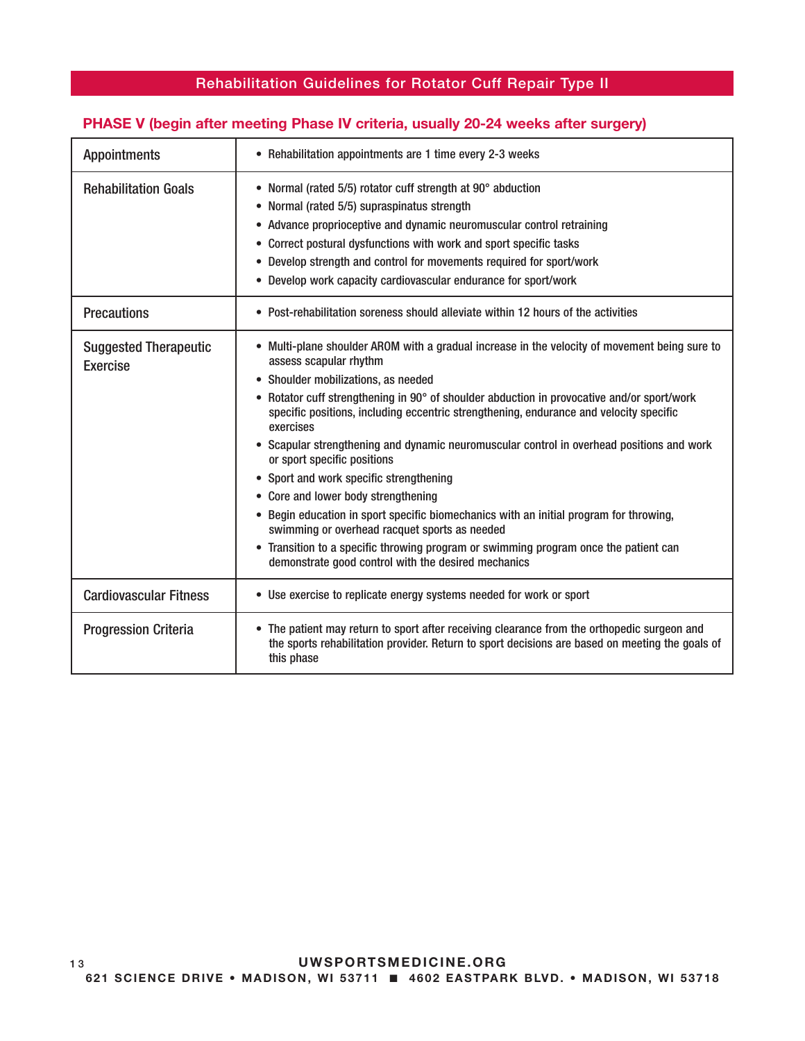### PHASE V (begin after meeting Phase IV criteria, usually 20-24 weeks after surgery)

| <b>Appointments</b>                             | • Rehabilitation appointments are 1 time every 2-3 weeks                                                                                                                                                                                                                                                                                                                                                                                                                                                                                                                                                                                                                                                                                                                                                                                                                    |
|-------------------------------------------------|-----------------------------------------------------------------------------------------------------------------------------------------------------------------------------------------------------------------------------------------------------------------------------------------------------------------------------------------------------------------------------------------------------------------------------------------------------------------------------------------------------------------------------------------------------------------------------------------------------------------------------------------------------------------------------------------------------------------------------------------------------------------------------------------------------------------------------------------------------------------------------|
| <b>Rehabilitation Goals</b>                     | • Normal (rated 5/5) rotator cuff strength at 90° abduction<br>• Normal (rated 5/5) supraspinatus strength<br>• Advance proprioceptive and dynamic neuromuscular control retraining<br>• Correct postural dysfunctions with work and sport specific tasks<br>• Develop strength and control for movements required for sport/work<br>• Develop work capacity cardiovascular endurance for sport/work                                                                                                                                                                                                                                                                                                                                                                                                                                                                        |
| <b>Precautions</b>                              | • Post-rehabilitation soreness should alleviate within 12 hours of the activities                                                                                                                                                                                                                                                                                                                                                                                                                                                                                                                                                                                                                                                                                                                                                                                           |
| <b>Suggested Therapeutic</b><br><b>Exercise</b> | • Multi-plane shoulder AROM with a gradual increase in the velocity of movement being sure to<br>assess scapular rhythm<br>• Shoulder mobilizations, as needed<br>• Rotator cuff strengthening in 90° of shoulder abduction in provocative and/or sport/work<br>specific positions, including eccentric strengthening, endurance and velocity specific<br>exercises<br>• Scapular strengthening and dynamic neuromuscular control in overhead positions and work<br>or sport specific positions<br>• Sport and work specific strengthening<br>• Core and lower body strengthening<br>• Begin education in sport specific biomechanics with an initial program for throwing,<br>swimming or overhead racquet sports as needed<br>• Transition to a specific throwing program or swimming program once the patient can<br>demonstrate good control with the desired mechanics |
| <b>Cardiovascular Fitness</b>                   | • Use exercise to replicate energy systems needed for work or sport                                                                                                                                                                                                                                                                                                                                                                                                                                                                                                                                                                                                                                                                                                                                                                                                         |
| <b>Progression Criteria</b>                     | • The patient may return to sport after receiving clearance from the orthopedic surgeon and<br>the sports rehabilitation provider. Return to sport decisions are based on meeting the goals of<br>this phase                                                                                                                                                                                                                                                                                                                                                                                                                                                                                                                                                                                                                                                                |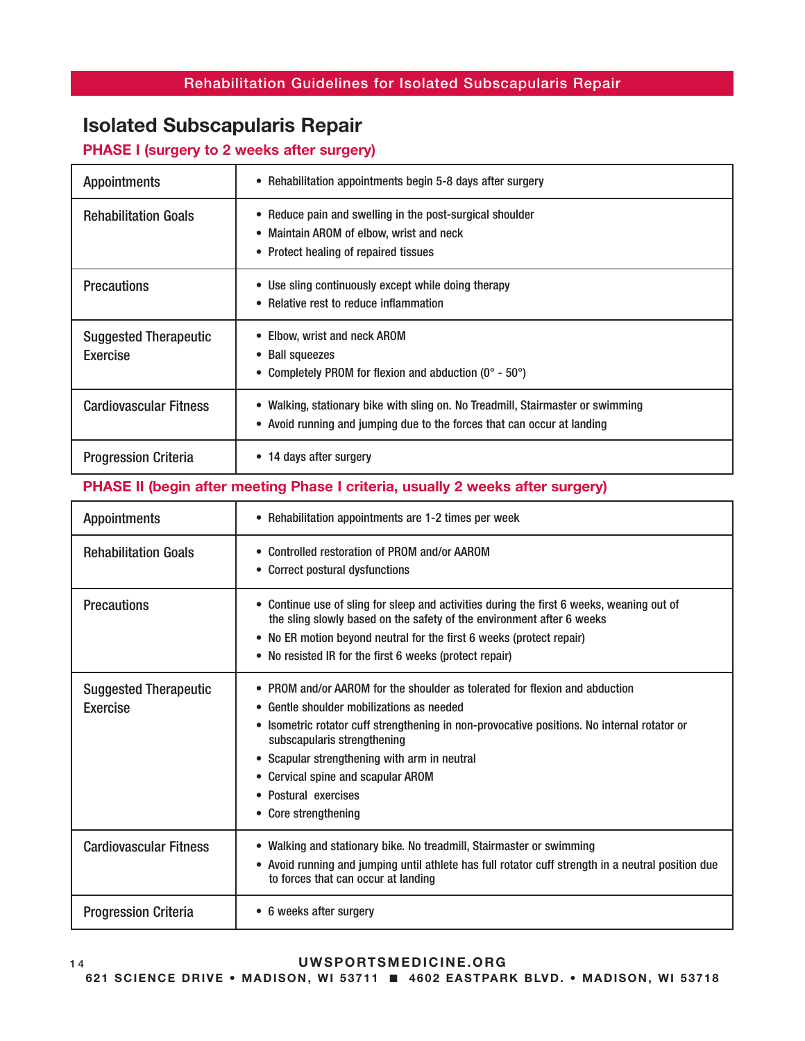### Rehabilitation Guidelines for Isolated Subscapularis Repair

# Isolated Subscapularis Repair

### PHASE I (surgery to 2 weeks after surgery)

| <b>Appointments</b>                      | • Rehabilitation appointments begin 5-8 days after surgery                                                                                                            |
|------------------------------------------|-----------------------------------------------------------------------------------------------------------------------------------------------------------------------|
| <b>Rehabilitation Goals</b>              | • Reduce pain and swelling in the post-surgical shoulder<br>• Maintain AROM of elbow, wrist and neck<br>• Protect healing of repaired tissues                         |
| <b>Precautions</b>                       | • Use sling continuously except while doing therapy<br>• Relative rest to reduce inflammation                                                                         |
| <b>Suggested Therapeutic</b><br>Exercise | • Elbow, wrist and neck AROM<br>• Ball squeezes<br>• Completely PROM for flexion and abduction $(0^{\circ} - 50^{\circ})$                                             |
| <b>Cardiovascular Fitness</b>            | Walking, stationary bike with sling on. No Treadmill, Stairmaster or swimming<br>$\bullet$<br>• Avoid running and jumping due to the forces that can occur at landing |
| <b>Progression Criteria</b>              | • 14 days after surgery                                                                                                                                               |

### PHASE II (begin after meeting Phase I criteria, usually 2 weeks after surgery)

| <b>Appointments</b>                             | • Rehabilitation appointments are 1-2 times per week                                                                                                                                                                                                                                                                                                                                         |
|-------------------------------------------------|----------------------------------------------------------------------------------------------------------------------------------------------------------------------------------------------------------------------------------------------------------------------------------------------------------------------------------------------------------------------------------------------|
| <b>Rehabilitation Goals</b>                     | • Controlled restoration of PROM and/or AAROM<br>• Correct postural dysfunctions                                                                                                                                                                                                                                                                                                             |
| <b>Precautions</b>                              | • Continue use of sling for sleep and activities during the first 6 weeks, weaning out of<br>the sling slowly based on the safety of the environment after 6 weeks<br>• No ER motion beyond neutral for the first 6 weeks (protect repair)<br>• No resisted IR for the first 6 weeks (protect repair)                                                                                        |
| <b>Suggested Therapeutic</b><br><b>Exercise</b> | • PROM and/or AAROM for the shoulder as tolerated for flexion and abduction<br>• Gentle shoulder mobilizations as needed<br>• Isometric rotator cuff strengthening in non-provocative positions. No internal rotator or<br>subscapularis strengthening<br>• Scapular strengthening with arm in neutral<br>• Cervical spine and scapular AROM<br>• Postural exercises<br>• Core strengthening |
| <b>Cardiovascular Fitness</b>                   | • Walking and stationary bike. No treadmill, Stairmaster or swimming<br>• Avoid running and jumping until athlete has full rotator cuff strength in a neutral position due<br>to forces that can occur at landing                                                                                                                                                                            |
| <b>Progression Criteria</b>                     | • 6 weeks after surgery                                                                                                                                                                                                                                                                                                                                                                      |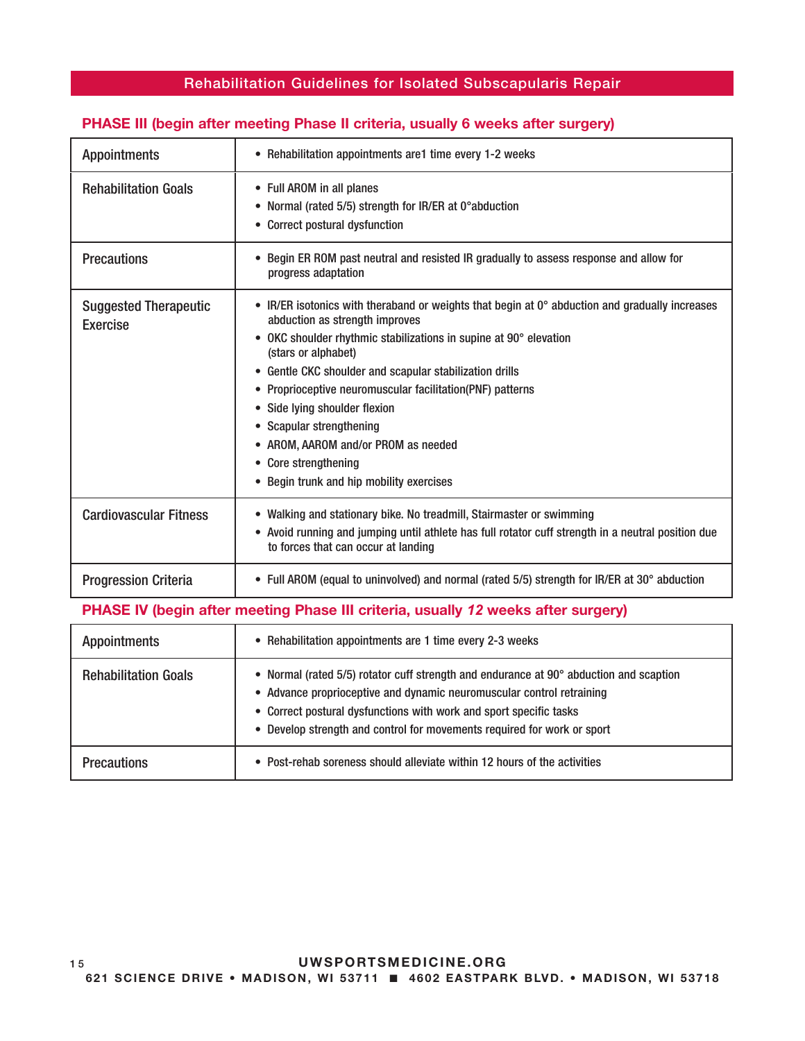### Rehabilitation Guidelines for Isolated Subscapularis Repair

### PHASE III (begin after meeting Phase II criteria, usually 6 weeks after surgery)

| <b>Appointments</b>                                                               | • Rehabilitation appointments are1 time every 1-2 weeks                                                                                                                                                                                                                                                                                                                                                                                                                                                                             |
|-----------------------------------------------------------------------------------|-------------------------------------------------------------------------------------------------------------------------------------------------------------------------------------------------------------------------------------------------------------------------------------------------------------------------------------------------------------------------------------------------------------------------------------------------------------------------------------------------------------------------------------|
| <b>Rehabilitation Goals</b>                                                       | • Full AROM in all planes<br>• Normal (rated 5/5) strength for IR/ER at 0° abduction<br>• Correct postural dysfunction                                                                                                                                                                                                                                                                                                                                                                                                              |
| <b>Precautions</b>                                                                | • Begin ER ROM past neutral and resisted IR gradually to assess response and allow for<br>progress adaptation                                                                                                                                                                                                                                                                                                                                                                                                                       |
| <b>Suggested Therapeutic</b><br><b>Exercise</b>                                   | • IR/ER isotonics with theraband or weights that begin at $0^\circ$ abduction and gradually increases<br>abduction as strength improves<br>• OKC shoulder rhythmic stabilizations in supine at 90° elevation<br>(stars or alphabet)<br>• Gentle CKC shoulder and scapular stabilization drills<br>• Proprioceptive neuromuscular facilitation(PNF) patterns<br>• Side lying shoulder flexion<br>• Scapular strengthening<br>• AROM, AAROM and/or PROM as needed<br>• Core strengthening<br>• Begin trunk and hip mobility exercises |
| <b>Cardiovascular Fitness</b>                                                     | • Walking and stationary bike. No treadmill, Stairmaster or swimming<br>• Avoid running and jumping until athlete has full rotator cuff strength in a neutral position due<br>to forces that can occur at landing                                                                                                                                                                                                                                                                                                                   |
| <b>Progression Criteria</b>                                                       | • Full AROM (equal to uninvolved) and normal (rated 5/5) strength for IR/ER at 30° abduction                                                                                                                                                                                                                                                                                                                                                                                                                                        |
| PHASE IV (begin after meeting Phase III criteria, usually 12 weeks after surgery) |                                                                                                                                                                                                                                                                                                                                                                                                                                                                                                                                     |

| <b>Appointments</b>         | • Rehabilitation appointments are 1 time every 2-3 weeks                                                                                                                                                                                                                                                         |
|-----------------------------|------------------------------------------------------------------------------------------------------------------------------------------------------------------------------------------------------------------------------------------------------------------------------------------------------------------|
| <b>Rehabilitation Goals</b> | • Normal (rated 5/5) rotator cuff strength and endurance at 90° abduction and scaption<br>• Advance proprioceptive and dynamic neuromuscular control retraining<br>• Correct postural dysfunctions with work and sport specific tasks<br>• Develop strength and control for movements required for work or sport |
| <b>Precautions</b>          | • Post-rehab soreness should alleviate within 12 hours of the activities                                                                                                                                                                                                                                         |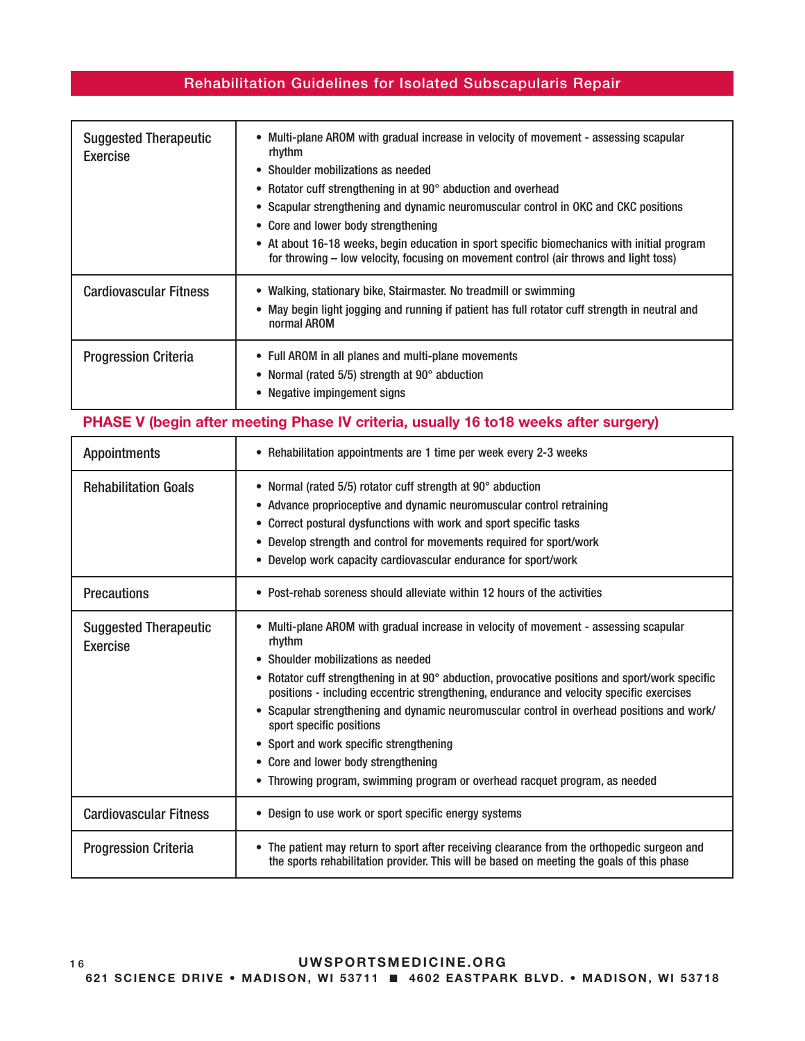### Rehabilitation Guidelines for Isolated Subscapularis Repair

| <b>Suggested Therapeutic</b><br><b>Exercise</b> | • Multi-plane AROM with gradual increase in velocity of movement - assessing scapular<br>rhythm<br>• Shoulder mobilizations as needed<br>• Rotator cuff strengthening in at 90° abduction and overhead<br>• Scapular strengthening and dynamic neuromuscular control in OKC and CKC positions<br>• Core and lower body strengthening<br>• At about 16-18 weeks, begin education in sport specific biomechanics with initial program<br>for throwing – low velocity, focusing on movement control (air throws and light toss) |
|-------------------------------------------------|------------------------------------------------------------------------------------------------------------------------------------------------------------------------------------------------------------------------------------------------------------------------------------------------------------------------------------------------------------------------------------------------------------------------------------------------------------------------------------------------------------------------------|
| <b>Cardiovascular Fitness</b>                   | • Walking, stationary bike, Stairmaster. No treadmill or swimming<br>• May begin light jogging and running if patient has full rotator cuff strength in neutral and<br>normal AROM                                                                                                                                                                                                                                                                                                                                           |
| <b>Progression Criteria</b>                     | • Full AROM in all planes and multi-plane movements<br>• Normal (rated 5/5) strength at 90° abduction<br>• Negative impingement signs                                                                                                                                                                                                                                                                                                                                                                                        |

### PHASE V (begin after meeting Phase IV criteria, usually 16 to18 weeks after surgery)

| <b>Appointments</b>                      | • Rehabilitation appointments are 1 time per week every 2-3 weeks                                                                                                                                                                                                                                                                                                                                                                                                                                                                                                                                                               |
|------------------------------------------|---------------------------------------------------------------------------------------------------------------------------------------------------------------------------------------------------------------------------------------------------------------------------------------------------------------------------------------------------------------------------------------------------------------------------------------------------------------------------------------------------------------------------------------------------------------------------------------------------------------------------------|
| <b>Rehabilitation Goals</b>              | • Normal (rated 5/5) rotator cuff strength at 90° abduction<br>• Advance proprioceptive and dynamic neuromuscular control retraining<br>• Correct postural dysfunctions with work and sport specific tasks<br>• Develop strength and control for movements required for sport/work<br>• Develop work capacity cardiovascular endurance for sport/work                                                                                                                                                                                                                                                                           |
| <b>Precautions</b>                       | • Post-rehab soreness should alleviate within 12 hours of the activities                                                                                                                                                                                                                                                                                                                                                                                                                                                                                                                                                        |
| <b>Suggested Therapeutic</b><br>Exercise | • Multi-plane AROM with gradual increase in velocity of movement - assessing scapular<br>rhythm<br>• Shoulder mobilizations as needed<br>• Rotator cuff strengthening in at 90° abduction, provocative positions and sport/work specific<br>positions - including eccentric strengthening, endurance and velocity specific exercises<br>• Scapular strengthening and dynamic neuromuscular control in overhead positions and work/<br>sport specific positions<br>• Sport and work specific strengthening<br>• Core and lower body strengthening<br>• Throwing program, swimming program or overhead racquet program, as needed |
| <b>Cardiovascular Fitness</b>            | • Design to use work or sport specific energy systems                                                                                                                                                                                                                                                                                                                                                                                                                                                                                                                                                                           |
| <b>Progression Criteria</b>              | • The patient may return to sport after receiving clearance from the orthopedic surgeon and<br>the sports rehabilitation provider. This will be based on meeting the goals of this phase                                                                                                                                                                                                                                                                                                                                                                                                                                        |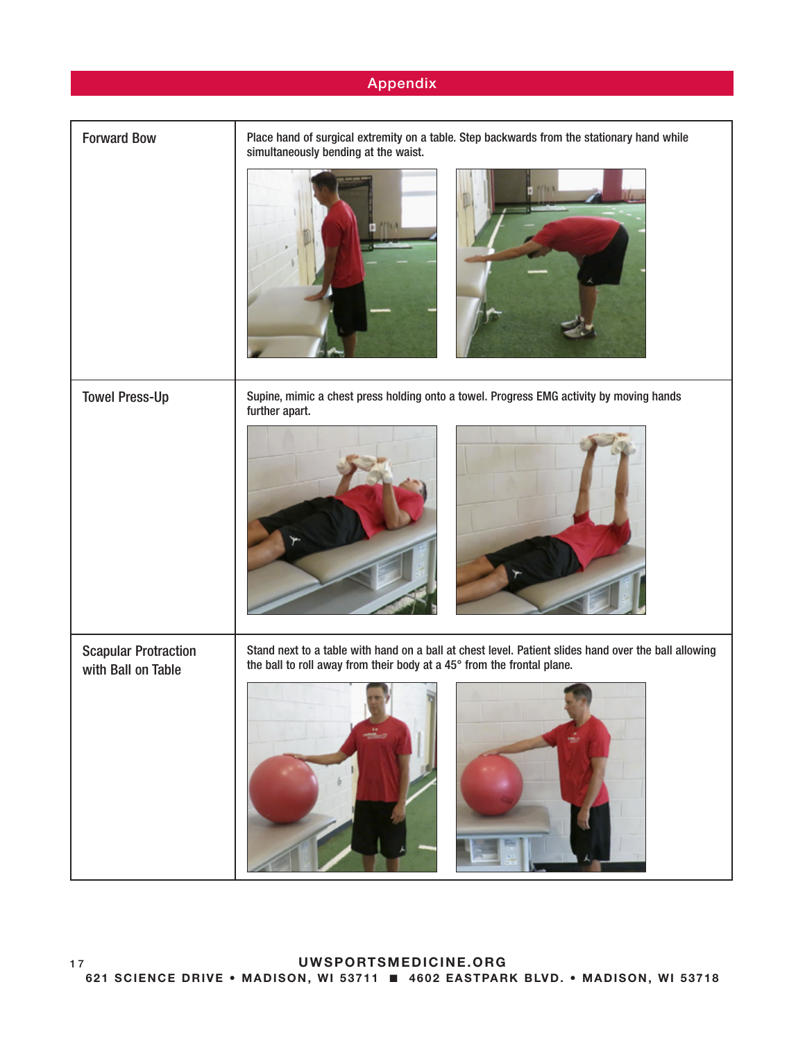### Appendix

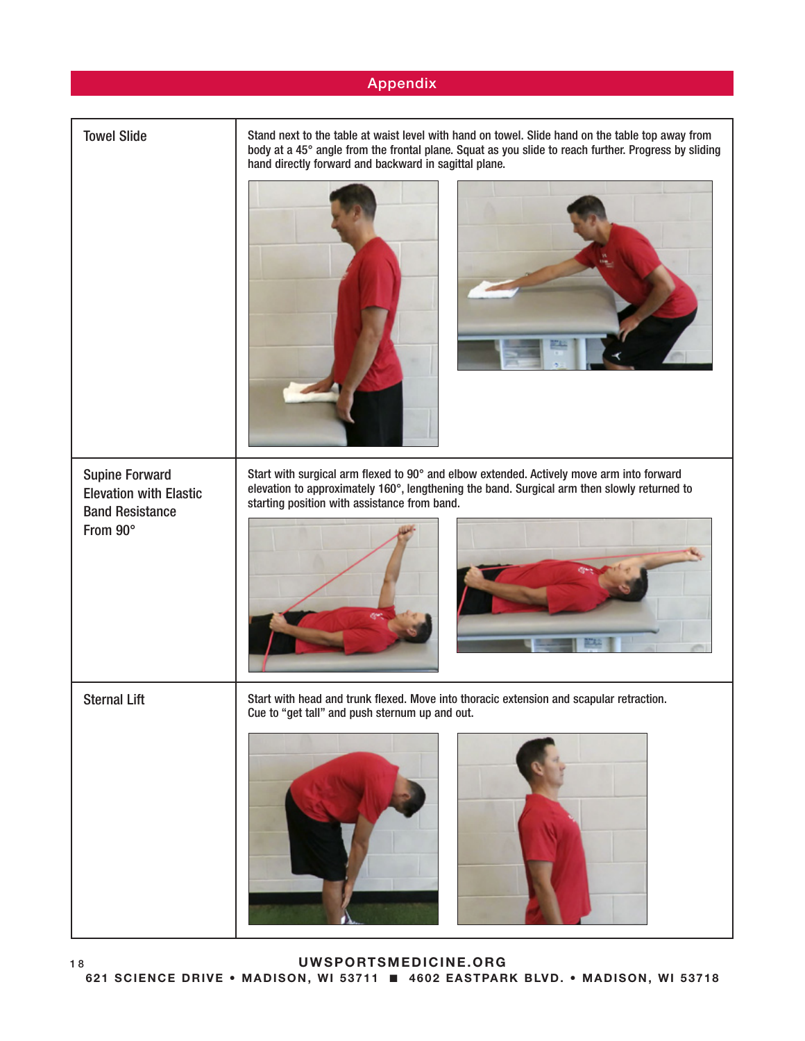#### Appendix

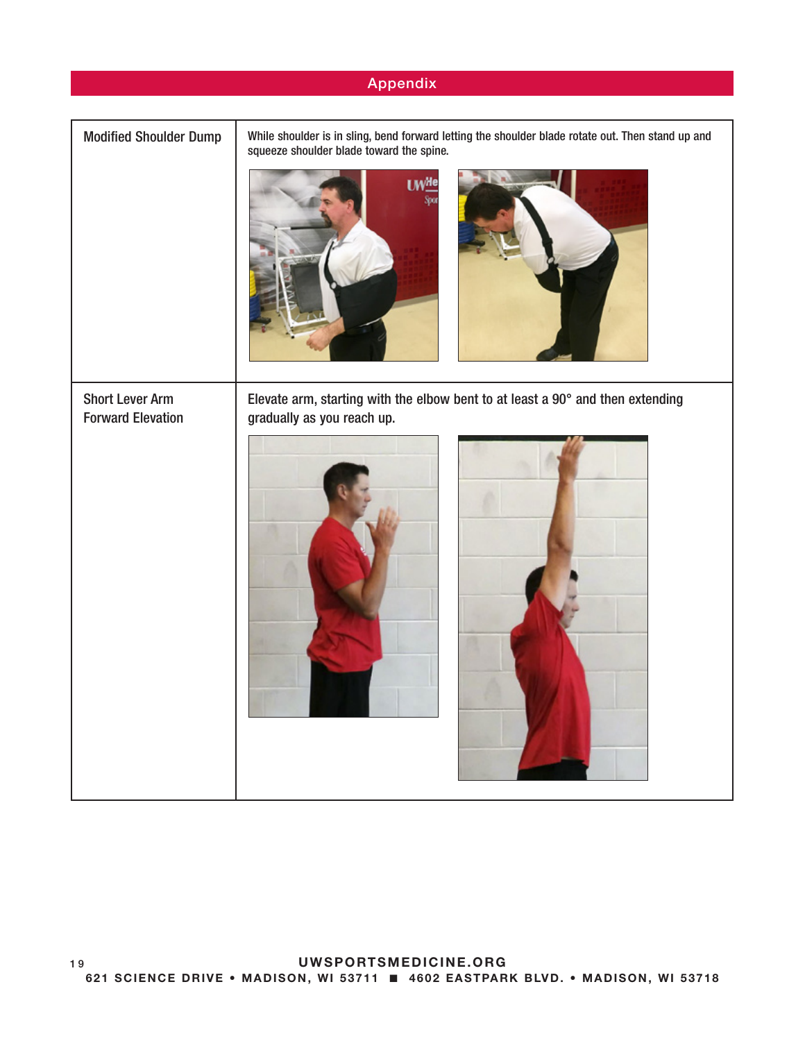|                                                    | Appendix                                                                                                                                                             |
|----------------------------------------------------|----------------------------------------------------------------------------------------------------------------------------------------------------------------------|
|                                                    |                                                                                                                                                                      |
| <b>Modified Shoulder Dump</b>                      | While shoulder is in sling, bend forward letting the shoulder blade rotate out. Then stand up and<br>squeeze shoulder blade toward the spine.<br><b>UWHe</b><br>Spor |
| <b>Short Lever Arm</b><br><b>Forward Elevation</b> | Elevate arm, starting with the elbow bent to at least a 90° and then extending<br>gradually as you reach up.                                                         |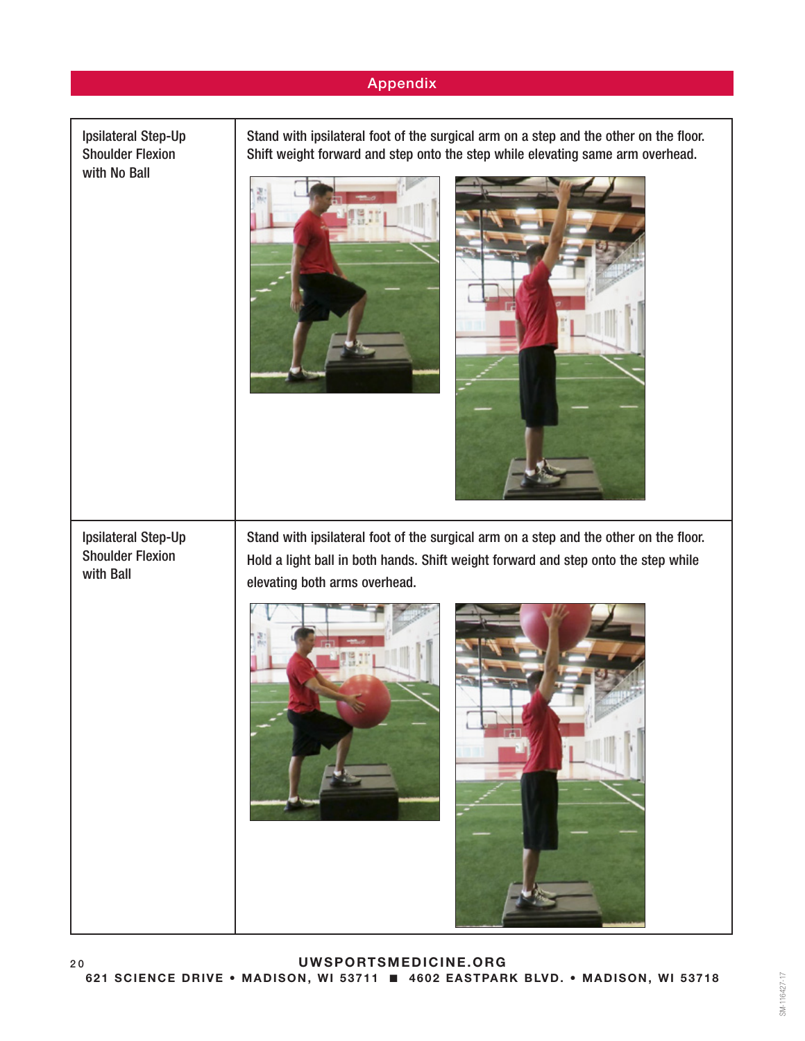### Appendix